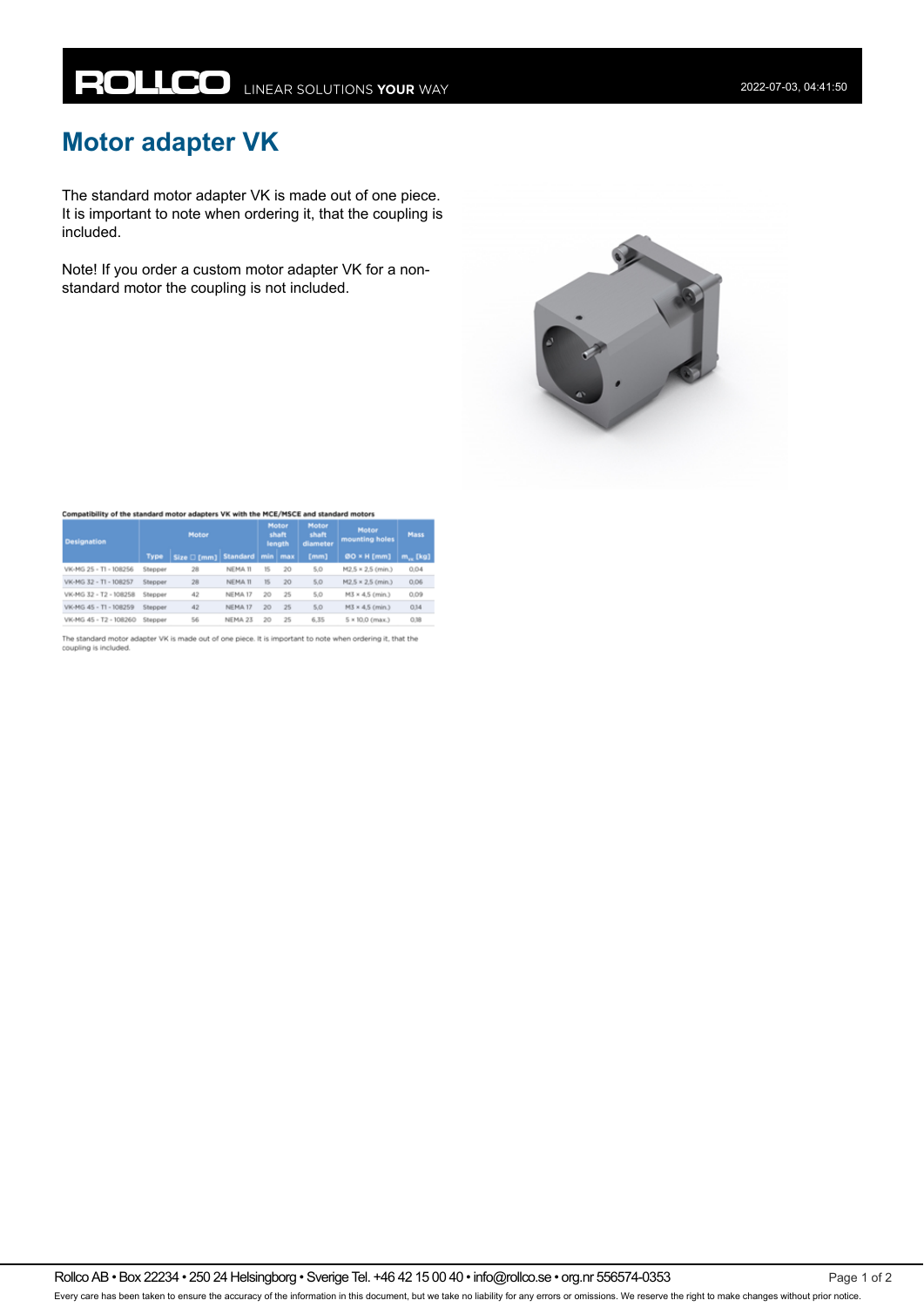## **Motor adapter VK**

The standard motor adapter VK is made out of one piece. It is important to note when ordering it, that the coupling is included.

Note! If you order a custom motor adapter VK for a nonstandard motor the coupling is not included.



## Compatibility of the standard motor adapters VK with the MCE/MSCE and standard motors

| <b>Designation</b>     | <b>Motor</b> |                  |                  | <b>Motor</b><br>shaft<br>length |    | Motor<br>shaft<br>diameter | Motor<br>mounting holes  | Mass              |
|------------------------|--------------|------------------|------------------|---------------------------------|----|----------------------------|--------------------------|-------------------|
|                        | Type         | Size $\Box$ [mm] | Standard min max |                                 |    | [mm]                       | 00 × H [mm]              | $m_{\infty}$ [kg] |
| VK-MG 25 - T1 - 108256 | Stepper      | 28               | NEMA 11          | 15                              | 20 | 5,0                        | M2.5 × 2.5 (min.)        | 0.04              |
| VK-MG 32 - T1 - 108257 | Stepper      | 28               | NEMA 11          | 15                              | 20 | 5.0                        | $M2.5 \times 2.5$ (min.) | 0.06              |
| VK-MG 32 - T2 - 108258 | Stepper      | 42               | NEMA 17          | 20                              | 25 | 5,0                        | M3 × 4.5 (min.)          | 0.09              |
| VK-MG 45 - T1 - 108259 | Stepper      | 42               | NEMA 17          | 20                              | 25 | 5.0                        | M3 × 4.5 (min.)          | 0.14              |
| VK-MG 45 - T2 - 108260 | Stepper      | 56               | NEMA 23          | 20                              | 25 | 6.35                       | 5 × 10.0 (max.)          | 0,18              |

The standard motor adapter VK is made out of one piece. It is important to note when ordering it, that the<br>coupling is included.

Rollco AB • Box 22234 • 250 24 Helsingborg • Sverige Tel. +46 42 15 00 40 • info@rollco.se • org.nr 556574-0353 Page 1 of 2 Every care has been taken to ensure the accuracy of the information in this document, but we take no liability for any errors or omissions. We reserve the right to make changes without prior notice.